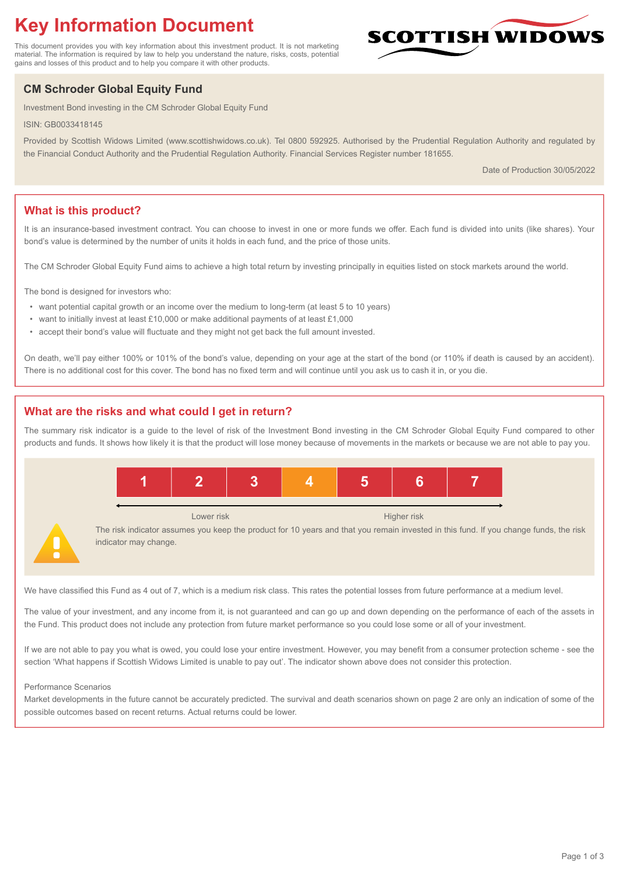# **Key Information Document**

This document provides you with key information about this investment product. It is not marketing material. The information is required by law to help you understand the nature, risks, costs, potential gains and losses of this product and to help you compare it with other products.

# **CM Schroder Global Equity Fund**

Investment Bond investing in the CM Schroder Global Equity Fund

ISIN: GB0033418145

Provided by Scottish Widows Limited (www.scottishwidows.co.uk). Tel 0800 592925. Authorised by the Prudential Regulation Authority and regulated by the Financial Conduct Authority and the Prudential Regulation Authority. Financial Services Register number 181655.

Date of Production 30/05/2022

**SCOTTISH WIDOW** 

# **What is this product?**

It is an insurance-based investment contract. You can choose to invest in one or more funds we offer. Each fund is divided into units (like shares). Your bond's value is determined by the number of units it holds in each fund, and the price of those units.

The CM Schroder Global Equity Fund aims to achieve a high total return by investing principally in equities listed on stock markets around the world.

The bond is designed for investors who:

- want potential capital growth or an income over the medium to long-term (at least 5 to 10 years)
- want to initially invest at least £10,000 or make additional payments of at least £1,000
- accept their bond's value will fluctuate and they might not get back the full amount invested.

On death, we'll pay either 100% or 101% of the bond's value, depending on your age at the start of the bond (or 110% if death is caused by an accident). There is no additional cost for this cover. The bond has no fixed term and will continue until you ask us to cash it in, or you die.

# **What are the risks and what could I get in return?**

The summary risk indicator is a guide to the level of risk of the Investment Bond investing in the CM Schroder Global Equity Fund compared to other products and funds. It shows how likely it is that the product will lose money because of movements in the markets or because we are not able to pay you.



We have classified this Fund as 4 out of 7, which is a medium risk class. This rates the potential losses from future performance at a medium level.

The value of your investment, and any income from it, is not guaranteed and can go up and down depending on the performance of each of the assets in the Fund. This product does not include any protection from future market performance so you could lose some or all of your investment.

If we are not able to pay you what is owed, you could lose your entire investment. However, you may benefit from a consumer protection scheme - see the section 'What happens if Scottish Widows Limited is unable to pay out'. The indicator shown above does not consider this protection.

#### Performance Scenarios

Market developments in the future cannot be accurately predicted. The survival and death scenarios shown on page 2 are only an indication of some of the possible outcomes based on recent returns. Actual returns could be lower.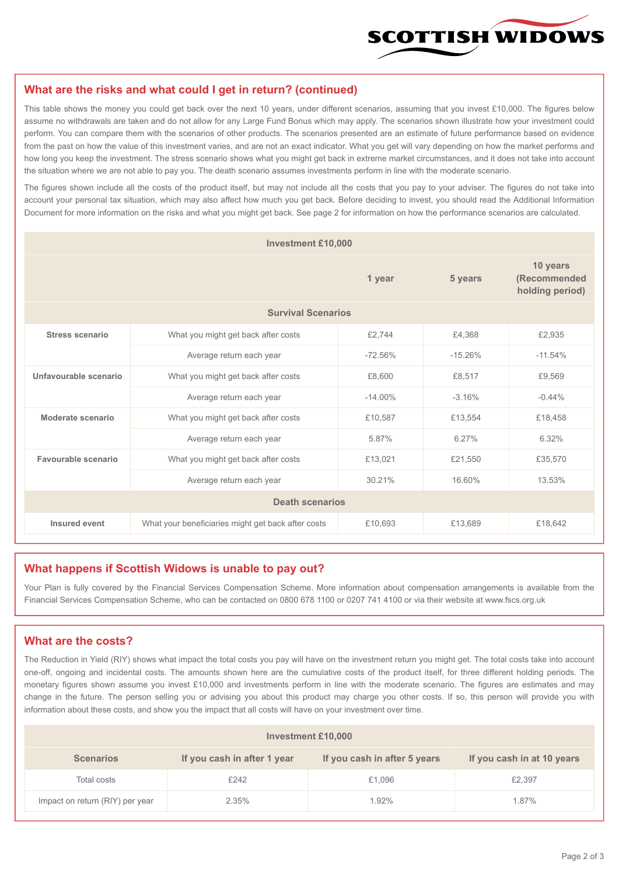

#### **What are the risks and what could I get in return? (continued)**

This table shows the money you could get back over the next 10 years, under different scenarios, assuming that you invest £10,000. The figures below assume no withdrawals are taken and do not allow for any Large Fund Bonus which may apply. The scenarios shown illustrate how your investment could perform. You can compare them with the scenarios of other products. The scenarios presented are an estimate of future performance based on evidence from the past on how the value of this investment varies, and are not an exact indicator. What you get will vary depending on how the market performs and how long you keep the investment. The stress scenario shows what you might get back in extreme market circumstances, and it does not take into account the situation where we are not able to pay you. The death scenario assumes investments perform in line with the moderate scenario.

The figures shown include all the costs of the product itself, but may not include all the costs that you pay to your adviser. The figures do not take into account your personal tax situation, which may also affect how much you get back. Before deciding to invest, you should read the Additional Information Document for more information on the risks and what you might get back. See page 2 for information on how the performance scenarios are calculated.

| <b>Investment £10,000</b> |                                                    |            |           |                                             |  |  |  |
|---------------------------|----------------------------------------------------|------------|-----------|---------------------------------------------|--|--|--|
|                           |                                                    | 1 year     | 5 years   | 10 years<br>(Recommended<br>holding period) |  |  |  |
| <b>Survival Scenarios</b> |                                                    |            |           |                                             |  |  |  |
| <b>Stress scenario</b>    | £2,744<br>What you might get back after costs      |            | £4,368    | £2,935                                      |  |  |  |
|                           | Average return each year                           | $-72.56%$  | $-15.26%$ | $-11.54%$                                   |  |  |  |
| Unfavourable scenario     | What you might get back after costs                | £8,600     | £8,517    | £9,569                                      |  |  |  |
|                           | Average return each year                           | $-14.00\%$ | $-3.16%$  | $-0.44%$                                    |  |  |  |
| Moderate scenario         | What you might get back after costs                | £10,587    | £13,554   | £18.458                                     |  |  |  |
|                           | Average return each year                           | 5.87%      | 6.27%     | 6.32%                                       |  |  |  |
| Favourable scenario       | What you might get back after costs                | £13,021    | £21,550   | £35,570                                     |  |  |  |
|                           | 30.21%<br>Average return each year                 |            | 16.60%    | 13.53%                                      |  |  |  |
| <b>Death scenarios</b>    |                                                    |            |           |                                             |  |  |  |
| Insured event             | What your beneficiaries might get back after costs | £10,693    | £13,689   | £18,642                                     |  |  |  |

#### **What happens if Scottish Widows is unable to pay out?**

Your Plan is fully covered by the Financial Services Compensation Scheme. More information about compensation arrangements is available from the Financial Services Compensation Scheme, who can be contacted on 0800 678 1100 or 0207 741 4100 or via their website at www.fscs.org.uk

# **What are the costs?**

The Reduction in Yield (RIY) shows what impact the total costs you pay will have on the investment return you might get. The total costs take into account one-off, ongoing and incidental costs. The amounts shown here are the cumulative costs of the product itself, for three different holding periods. The monetary figures shown assume you invest £10,000 and investments perform in line with the moderate scenario. The figures are estimates and may change in the future. The person selling you or advising you about this product may charge you other costs. If so, this person will provide you with information about these costs, and show you the impact that all costs will have on your investment over time.

| Investment £10,000              |                             |                              |                            |  |  |  |
|---------------------------------|-----------------------------|------------------------------|----------------------------|--|--|--|
| <b>Scenarios</b>                | If you cash in after 1 year | If you cash in after 5 years | If you cash in at 10 years |  |  |  |
| Total costs                     | £242                        | £1,096                       | £2,397                     |  |  |  |
| Impact on return (RIY) per year | 2.35%                       | 1.92%                        | 1.87%                      |  |  |  |